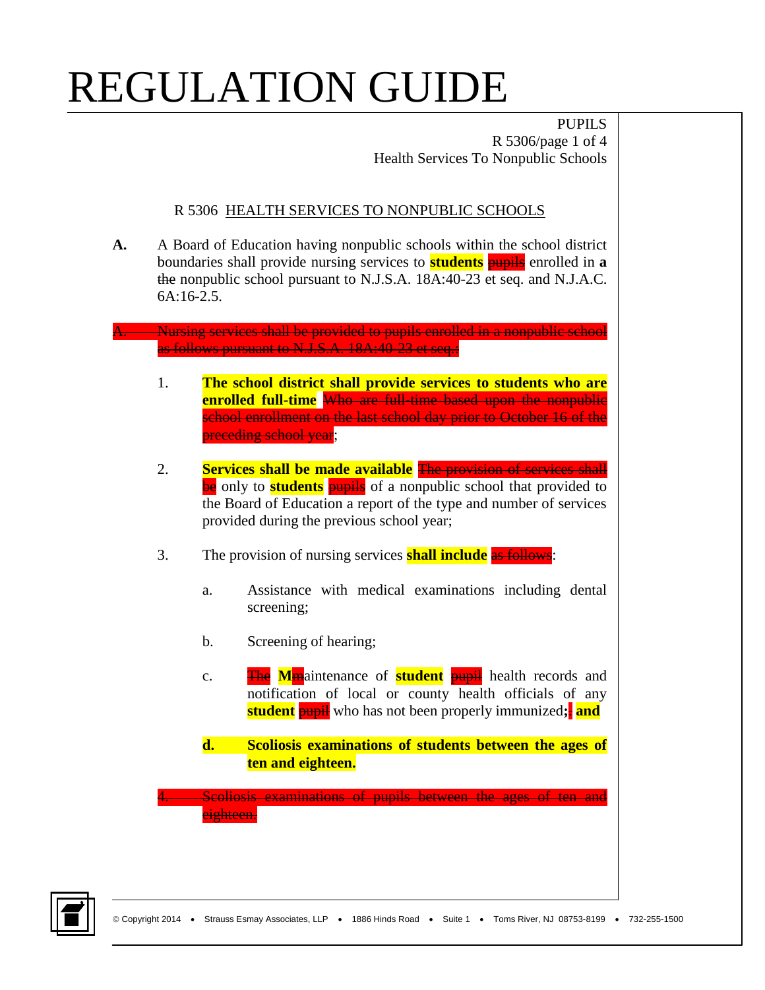PUPILS R 5306/page 1 of 4 Health Services To Nonpublic Schools

#### R 5306 HEALTH SERVICES TO NONPUBLIC SCHOOLS

**A.** A Board of Education having nonpublic schools within the school district boundaries shall provide nursing services to **students** pupils enrolled in **a** the nonpublic school pursuant to N.J.S.A. 18A:40-23 et seq. and N.J.A.C. 6A:16-2.5.

#### A. Nursing services shall be provided to pupils enrolled in a nonpublic school as follows pursuant to N.J.S.A. 18A:40-23 et seq.:

- 1. **The school district shall provide services to students who are enrolled full-time** Who are full-time based upon the nonpublic school enrollment on the last school day prior to October 16 of the preceding school year;
- 2. **Services shall be made available** The provision of services shall be only to **students pupils** of a nonpublic school that provided to the Board of Education a report of the type and number of services provided during the previous school year;
- 3. The provision of nursing services **shall include** as follows:
	- a. Assistance with medical examinations including dental screening;
	- b. Screening of hearing;
	- c. The **M**maintenance of **student** pupil health records and notification of local or county health officials of any **student** pupil who has not been properly immunized**;**. **and**
	- **d. Scoliosis examinations of students between the ages of ten and eighteen.**

Scoliosis examinations of pupils between the ages of ten and eighteen.

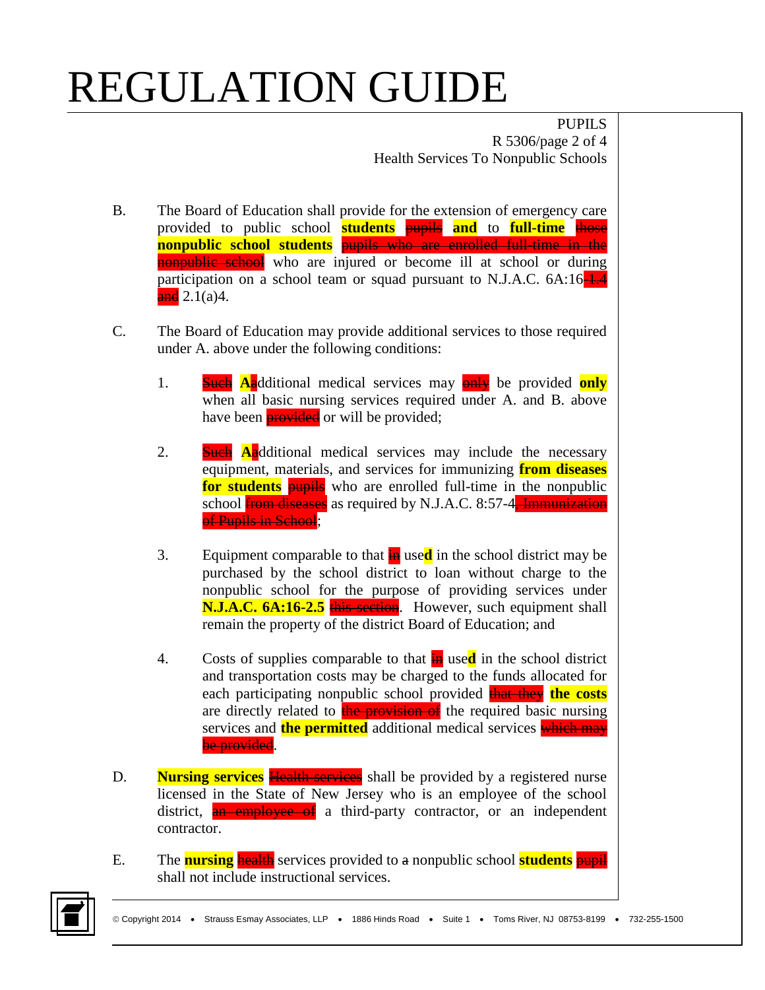PUPILS R 5306/page 2 of 4 Health Services To Nonpublic Schools

- B. The Board of Education shall provide for the extension of emergency care provided to public school **students** pupils **and** to **full-time** those **nonpublic school students** pupils who are enrolled full-time in the nonpublic school who are injured or become ill at school or during participation on a school team or squad pursuant to N.J.A.C. 6A:16-1.4  $\frac{and}{(a)}$  2.1(a)4.
- C. The Board of Education may provide additional services to those required under A. above under the following conditions:
	- 1. Such **A**additional medical services may only be provided **only** when all basic nursing services required under A. and B. above have been **provided** or will be provided;
	- 2. Such **A**additional medical services may include the necessary equipment, materials, and services for immunizing **from diseases for students pupils** who are enrolled full-time in the nonpublic school **from diseases** as required by N.J.A.C. 8:57-4. Immunization of Pupils in School;
	- 3. Equipment comparable to that  $\frac{1}{2}$  used in the school district may be purchased by the school district to loan without charge to the nonpublic school for the purpose of providing services under **N.J.A.C. 6A:16-2.5** this section. However, such equipment shall remain the property of the district Board of Education; and
	- 4. Costs of supplies comparable to that **in** used in the school district and transportation costs may be charged to the funds allocated for each participating nonpublic school provided **that they the costs** are directly related to the provision of the required basic nursing services and **the permitted** additional medical services which may be provided.
- D. **Nursing services Health services** shall be provided by a registered nurse licensed in the State of New Jersey who is an employee of the school district, an employee of a third-party contractor, or an independent contractor.
- E. The **nursing** health services provided to a nonpublic school **students** pupil shall not include instructional services.

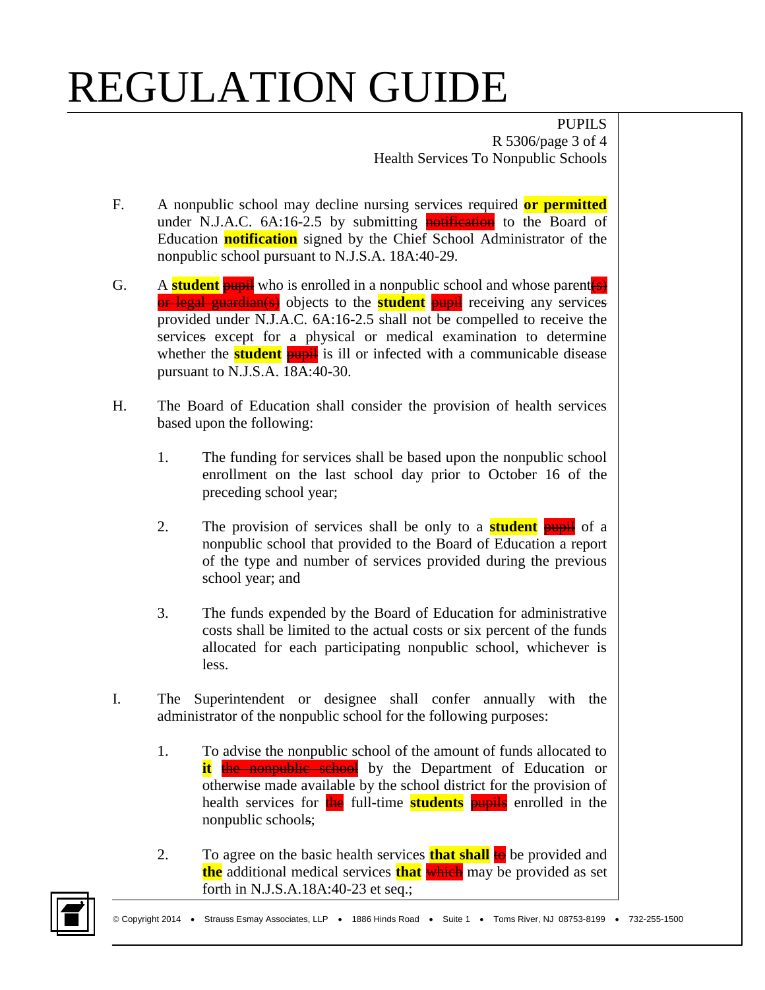PUPILS R 5306/page 3 of 4 Health Services To Nonpublic Schools

- F. A nonpublic school may decline nursing services required **or permitted**  under N.J.A.C.  $6A:16-2.5$  by submitting **notification** to the Board of Education **notification** signed by the Chief School Administrator of the nonpublic school pursuant to N.J.S.A. 18A:40-29.
- G. A **student pupil** who is enrolled in a nonpublic school and whose parent(s) or legal guardian(s) objects to the **student** pupil receiving any services provided under N.J.A.C. 6A:16-2.5 shall not be compelled to receive the services except for a physical or medical examination to determine whether the **student pupil** is ill or infected with a communicable disease pursuant to N.J.S.A. 18A:40-30.
- H. The Board of Education shall consider the provision of health services based upon the following:
	- 1. The funding for services shall be based upon the nonpublic school enrollment on the last school day prior to October 16 of the preceding school year;
	- 2. The provision of services shall be only to a **student** pupil of a nonpublic school that provided to the Board of Education a report of the type and number of services provided during the previous school year; and
	- 3. The funds expended by the Board of Education for administrative costs shall be limited to the actual costs or six percent of the funds allocated for each participating nonpublic school, whichever is less.
- I. The Superintendent or designee shall confer annually with the administrator of the nonpublic school for the following purposes:
	- 1. To advise the nonpublic school of the amount of funds allocated to it the nonpublic school by the Department of Education or otherwise made available by the school district for the provision of health services for the full-time **students pupils** enrolled in the nonpublic schools;
	- 2. To agree on the basic health services **that shall** to be provided and **the** additional medical services **that** which may be provided as set forth in N.J.S.A.18A:40-23 et seq.;